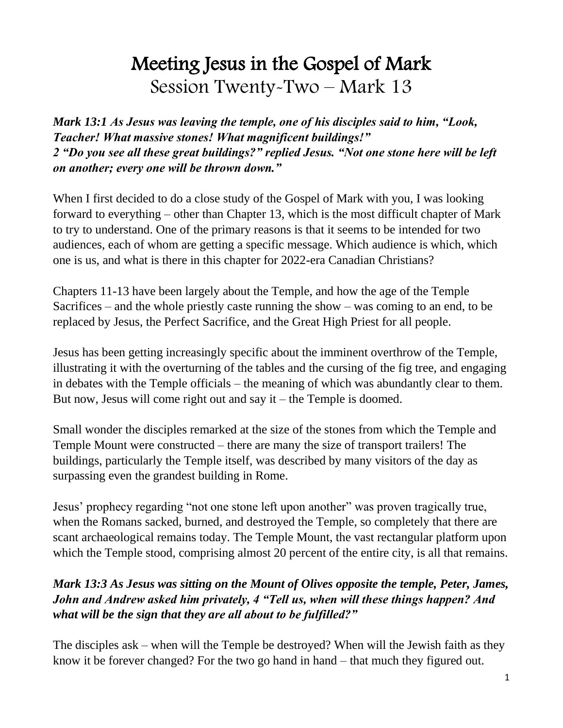# Meeting Jesus in the Gospel of Mark Session Twenty-Two – Mark 13

*Mark 13:1 As Jesus was leaving the temple, one of his disciples said to him, "Look, Teacher! What massive stones! What magnificent buildings!" 2 "Do you see all these great buildings?" replied Jesus. "Not one stone here will be left on another; every one will be thrown down."*

When I first decided to do a close study of the Gospel of Mark with you, I was looking forward to everything – other than Chapter 13, which is the most difficult chapter of Mark to try to understand. One of the primary reasons is that it seems to be intended for two audiences, each of whom are getting a specific message. Which audience is which, which one is us, and what is there in this chapter for 2022-era Canadian Christians?

Chapters 11-13 have been largely about the Temple, and how the age of the Temple Sacrifices – and the whole priestly caste running the show – was coming to an end, to be replaced by Jesus, the Perfect Sacrifice, and the Great High Priest for all people.

Jesus has been getting increasingly specific about the imminent overthrow of the Temple, illustrating it with the overturning of the tables and the cursing of the fig tree, and engaging in debates with the Temple officials – the meaning of which was abundantly clear to them. But now, Jesus will come right out and say it – the Temple is doomed.

Small wonder the disciples remarked at the size of the stones from which the Temple and Temple Mount were constructed – there are many the size of transport trailers! The buildings, particularly the Temple itself, was described by many visitors of the day as surpassing even the grandest building in Rome.

Jesus' prophecy regarding "not one stone left upon another" was proven tragically true, when the Romans sacked, burned, and destroyed the Temple, so completely that there are scant archaeological remains today. The Temple Mount, the vast rectangular platform upon which the Temple stood, comprising almost 20 percent of the entire city, is all that remains.

# *Mark 13:3 As Jesus was sitting on the Mount of Olives opposite the temple, Peter, James, John and Andrew asked him privately, 4 "Tell us, when will these things happen? And what will be the sign that they are all about to be fulfilled?"*

The disciples ask – when will the Temple be destroyed? When will the Jewish faith as they know it be forever changed? For the two go hand in hand – that much they figured out.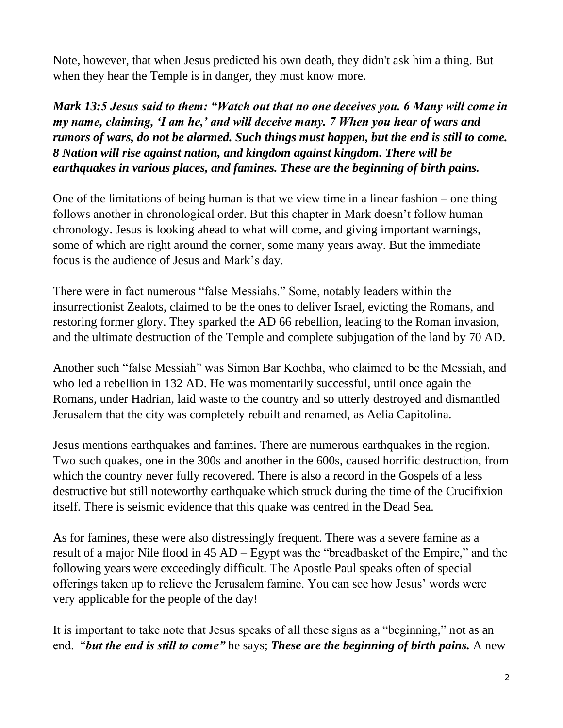Note, however, that when Jesus predicted his own death, they didn't ask him a thing. But when they hear the Temple is in danger, they must know more.

*Mark 13:5 Jesus said to them: "Watch out that no one deceives you. 6 Many will come in my name, claiming, 'I am he,' and will deceive many. 7 When you hear of wars and rumors of wars, do not be alarmed. Such things must happen, but the end is still to come. 8 Nation will rise against nation, and kingdom against kingdom. There will be earthquakes in various places, and famines. These are the beginning of birth pains.*

One of the limitations of being human is that we view time in a linear fashion – one thing follows another in chronological order. But this chapter in Mark doesn't follow human chronology. Jesus is looking ahead to what will come, and giving important warnings, some of which are right around the corner, some many years away. But the immediate focus is the audience of Jesus and Mark's day.

There were in fact numerous "false Messiahs." Some, notably leaders within the insurrectionist Zealots, claimed to be the ones to deliver Israel, evicting the Romans, and restoring former glory. They sparked the AD 66 rebellion, leading to the Roman invasion, and the ultimate destruction of the Temple and complete subjugation of the land by 70 AD.

Another such "false Messiah" was Simon Bar Kochba, who claimed to be the Messiah, and who led a rebellion in 132 AD. He was momentarily successful, until once again the Romans, under Hadrian, laid waste to the country and so utterly destroyed and dismantled Jerusalem that the city was completely rebuilt and renamed, as Aelia Capitolina.

Jesus mentions earthquakes and famines. There are numerous earthquakes in the region. Two such quakes, one in the 300s and another in the 600s, caused horrific destruction, from which the country never fully recovered. There is also a record in the Gospels of a less destructive but still noteworthy earthquake which struck during the time of the Crucifixion itself. There is seismic evidence that this quake was centred in the Dead Sea.

As for famines, these were also distressingly frequent. There was a severe famine as a result of a major Nile flood in 45 AD – Egypt was the "breadbasket of the Empire," and the following years were exceedingly difficult. The Apostle Paul speaks often of special offerings taken up to relieve the Jerusalem famine. You can see how Jesus' words were very applicable for the people of the day!

It is important to take note that Jesus speaks of all these signs as a "beginning," not as an end. "*but the end is still to come"* he says; *These are the beginning of birth pains.* A new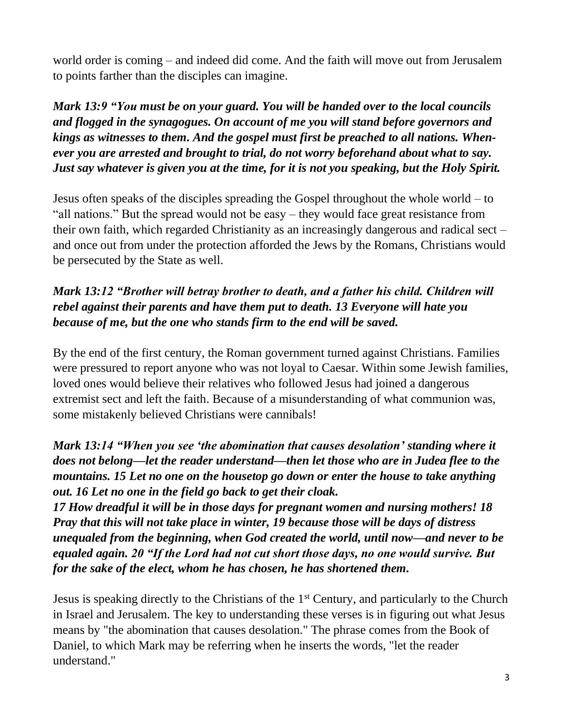world order is coming – and indeed did come. And the faith will move out from Jerusalem to points farther than the disciples can imagine.

*Mark 13:9 "You must be on your guard. You will be handed over to the local councils and flogged in the synagogues. On account of me you will stand before governors and kings as witnesses to them. And the gospel must first be preached to all nations. Whenever you are arrested and brought to trial, do not worry beforehand about what to say. Just say whatever is given you at the time, for it is not you speaking, but the Holy Spirit.*

Jesus often speaks of the disciples spreading the Gospel throughout the whole world – to "all nations." But the spread would not be easy – they would face great resistance from their own faith, which regarded Christianity as an increasingly dangerous and radical sect – and once out from under the protection afforded the Jews by the Romans, Christians would be persecuted by the State as well.

# *Mark 13:12 "Brother will betray brother to death, and a father his child. Children will rebel against their parents and have them put to death. 13 Everyone will hate you because of me, but the one who stands firm to the end will be saved.*

By the end of the first century, the Roman government turned against Christians. Families were pressured to report anyone who was not loyal to Caesar. Within some Jewish families, loved ones would believe their relatives who followed Jesus had joined a dangerous extremist sect and left the faith. Because of a misunderstanding of what communion was, some mistakenly believed Christians were cannibals!

*Mark 13:14 "When you see 'the abomination that causes desolation' standing where it does not belong—let the reader understand—then let those who are in Judea flee to the mountains. 15 Let no one on the housetop go down or enter the house to take anything out. 16 Let no one in the field go back to get their cloak.* 

*17 How dreadful it will be in those days for pregnant women and nursing mothers! 18 Pray that this will not take place in winter, 19 because those will be days of distress unequaled from the beginning, when God created the world, until now—and never to be equaled again. 20 "If the Lord had not cut short those days, no one would survive. But for the sake of the elect, whom he has chosen, he has shortened them.*

Jesus is speaking directly to the Christians of the 1<sup>st</sup> Century, and particularly to the Church in Israel and Jerusalem. The key to understanding these verses is in figuring out what Jesus means by "the abomination that causes desolation." The phrase comes from the Book of Daniel, to which Mark may be referring when he inserts the words, "let the reader understand."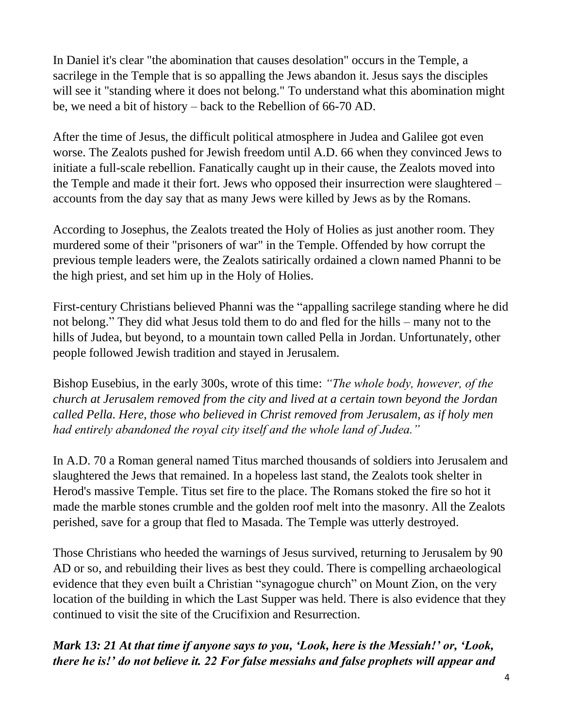In Daniel it's clear "the abomination that causes desolation" occurs in the Temple, a sacrilege in the Temple that is so appalling the Jews abandon it. Jesus says the disciples will see it "standing where it does not belong." To understand what this abomination might be, we need a bit of history – back to the Rebellion of 66-70 AD.

After the time of Jesus, the difficult political atmosphere in Judea and Galilee got even worse. The Zealots pushed for Jewish freedom until A.D. 66 when they convinced Jews to initiate a full-scale rebellion. Fanatically caught up in their cause, the Zealots moved into the Temple and made it their fort. Jews who opposed their insurrection were slaughtered – accounts from the day say that as many Jews were killed by Jews as by the Romans.

According to Josephus, the Zealots treated the Holy of Holies as just another room. They murdered some of their "prisoners of war" in the Temple. Offended by how corrupt the previous temple leaders were, the Zealots satirically ordained a clown named Phanni to be the high priest, and set him up in the Holy of Holies.

First-century Christians believed Phanni was the "appalling sacrilege standing where he did not belong." They did what Jesus told them to do and fled for the hills – many not to the hills of Judea, but beyond, to a mountain town called Pella in Jordan. Unfortunately, other people followed Jewish tradition and stayed in Jerusalem.

Bishop Eusebius, in the early 300s, wrote of this time: *"The whole body, however, of the church at Jerusalem removed from the city and lived at a certain town beyond the Jordan called Pella. Here, those who believed in Christ removed from Jerusalem, as if holy men had entirely abandoned the royal city itself and the whole land of Judea."*

In A.D. 70 a Roman general named Titus marched thousands of soldiers into Jerusalem and slaughtered the Jews that remained. In a hopeless last stand, the Zealots took shelter in Herod's massive Temple. Titus set fire to the place. The Romans stoked the fire so hot it made the marble stones crumble and the golden roof melt into the masonry. All the Zealots perished, save for a group that fled to Masada. The Temple was utterly destroyed.

Those Christians who heeded the warnings of Jesus survived, returning to Jerusalem by 90 AD or so, and rebuilding their lives as best they could. There is compelling archaeological evidence that they even built a Christian "synagogue church" on Mount Zion, on the very location of the building in which the Last Supper was held. There is also evidence that they continued to visit the site of the Crucifixion and Resurrection.

*Mark 13: 21 At that time if anyone says to you, 'Look, here is the Messiah!' or, 'Look, there he is!' do not believe it. 22 For false messiahs and false prophets will appear and*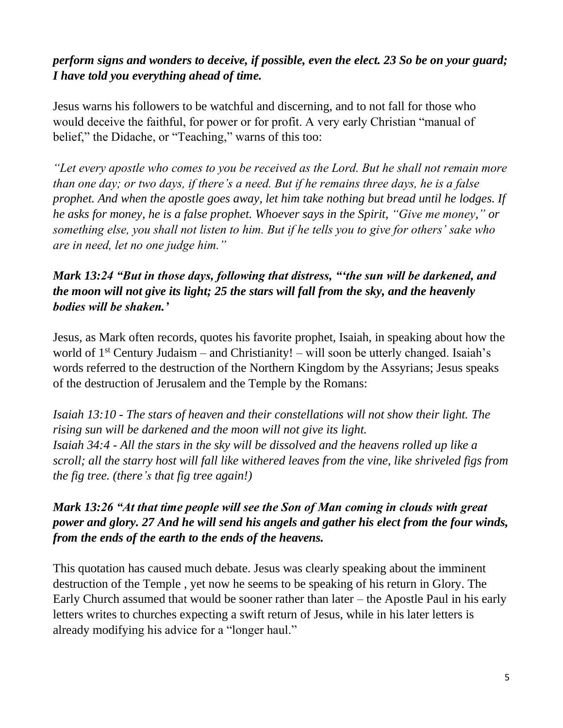# *perform signs and wonders to deceive, if possible, even the elect. 23 So be on your guard; I have told you everything ahead of time.*

Jesus warns his followers to be watchful and discerning, and to not fall for those who would deceive the faithful, for power or for profit. A very early Christian "manual of belief," the Didache, or "Teaching," warns of this too:

*"Let every apostle who comes to you be received as the Lord. But he shall not remain more than one day; or two days, if there's a need. But if he remains three days, he is a false prophet. And when the apostle goes away, let him take nothing but bread until he lodges. If he asks for money, he is a false prophet. Whoever says in the Spirit, "Give me money," or something else, you shall not listen to him. But if he tells you to give for others' sake who are in need, let no one judge him."*

# *Mark 13:24 "But in those days, following that distress, "'the sun will be darkened, and the moon will not give its light; 25 the stars will fall from the sky, and the heavenly bodies will be shaken.'*

Jesus, as Mark often records, quotes his favorite prophet, Isaiah, in speaking about how the world of  $1<sup>st</sup>$  Century Judaism – and Christianity! – will soon be utterly changed. Isaiah's words referred to the destruction of the Northern Kingdom by the Assyrians; Jesus speaks of the destruction of Jerusalem and the Temple by the Romans:

*Isaiah 13:10 - The stars of heaven and their constellations will not show their light. The rising sun will be darkened and the moon will not give its light. Isaiah 34:4 - All the stars in the sky will be dissolved and the heavens rolled up like a scroll; all the starry host will fall like withered leaves from the vine, like shriveled figs from the fig tree. (there's that fig tree again!)*

# *Mark 13:26 "At that time people will see the Son of Man coming in clouds with great power and glory. 27 And he will send his angels and gather his elect from the four winds, from the ends of the earth to the ends of the heavens.*

This quotation has caused much debate. Jesus was clearly speaking about the imminent destruction of the Temple , yet now he seems to be speaking of his return in Glory. The Early Church assumed that would be sooner rather than later – the Apostle Paul in his early letters writes to churches expecting a swift return of Jesus, while in his later letters is already modifying his advice for a "longer haul."